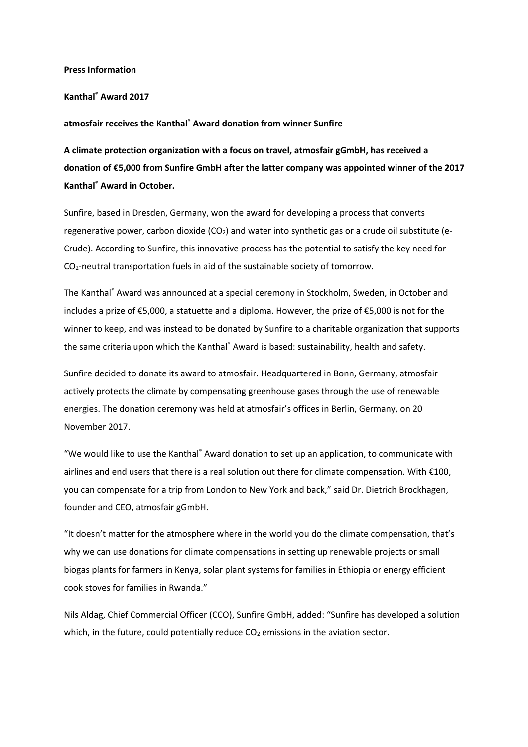#### Press Information

## Kanthal® Award 2017

## atmosfair receives the Kanthal® Award donation from winner Sunfire

A climate protection organization with a focus on travel, atmosfair gGmbH, has received a donation of €5,000 from Sunfire GmbH after the latter company was appointed winner of the 2017 Kanthal® Award in October.

Sunfire, based in Dresden, Germany, won the award for developing a process that converts regenerative power, carbon dioxide ( $CO<sub>2</sub>$ ) and water into synthetic gas or a crude oil substitute (e-Crude). According to Sunfire, this innovative process has the potential to satisfy the key need for CO2-neutral transportation fuels in aid of the sustainable society of tomorrow.

The Kanthal® Award was announced at a special ceremony in Stockholm, Sweden, in October and includes a prize of €5,000, a statuette and a diploma. However, the prize of €5,000 is not for the winner to keep, and was instead to be donated by Sunfire to a charitable organization that supports the same criteria upon which the Kanthal® Award is based: sustainability, health and safety.

Sunfire decided to donate its award to atmosfair. Headquartered in Bonn, Germany, atmosfair actively protects the climate by compensating greenhouse gases through the use of renewable energies. The donation ceremony was held at atmosfair's offices in Berlin, Germany, on 20 November 2017.

"We would like to use the Kanthal<sup>®</sup> Award donation to set up an application, to communicate with airlines and end users that there is a real solution out there for climate compensation. With €100, you can compensate for a trip from London to New York and back," said Dr. Dietrich Brockhagen, founder and CEO, atmosfair gGmbH.

"It doesn't matter for the atmosphere where in the world you do the climate compensation, that's why we can use donations for climate compensations in setting up renewable projects or small biogas plants for farmers in Kenya, solar plant systems for families in Ethiopia or energy efficient cook stoves for families in Rwanda."

Nils Aldag, Chief Commercial Officer (CCO), Sunfire GmbH, added: "Sunfire has developed a solution which, in the future, could potentially reduce  $CO<sub>2</sub>$  emissions in the aviation sector.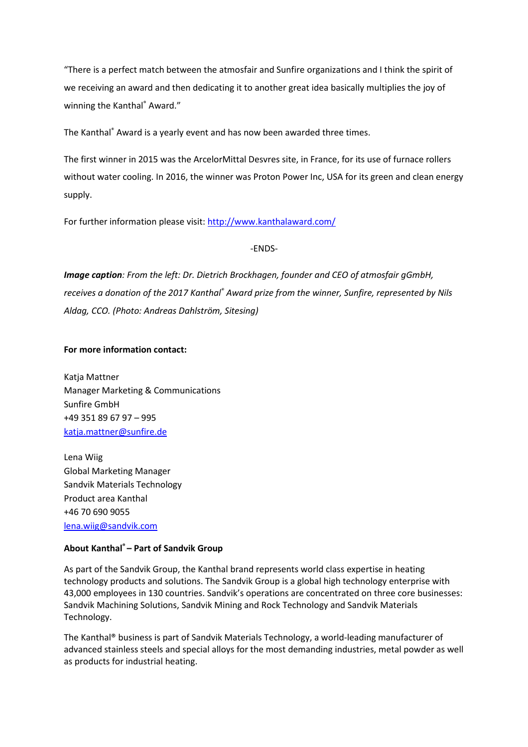"There is a perfect match between the atmosfair and Sunfire organizations and I think the spirit of we receiving an award and then dedicating it to another great idea basically multiplies the joy of winning the Kanthal® Award."

The Kanthal® Award is a yearly event and has now been awarded three times.

The first winner in 2015 was the ArcelorMittal Desvres site, in France, for its use of furnace rollers without water cooling. In 2016, the winner was Proton Power Inc, USA for its green and clean energy supply.

For further information please visit: http://www.kanthalaward.com/

# -ENDS-

Image caption: From the left: Dr. Dietrich Brockhagen, founder and CEO of atmosfair gGmbH, receives a donation of the 2017 Kanthal® Award prize from the winner, Sunfire, represented by Nils Aldag, CCO. (Photo: Andreas Dahlström, Sitesing)

## For more information contact:

Katja Mattner Manager Marketing & Communications Sunfire GmbH +49 351 89 67 97 – 995 katja.mattner@sunfire.de

Lena Wiig Global Marketing Manager Sandvik Materials Technology Product area Kanthal +46 70 690 9055 lena.wiig@sandvik.com

# About Kanthal® – Part of Sandvik Group

As part of the Sandvik Group, the Kanthal brand represents world class expertise in heating technology products and solutions. The Sandvik Group is a global high technology enterprise with 43,000 employees in 130 countries. Sandvik's operations are concentrated on three core businesses: Sandvik Machining Solutions, Sandvik Mining and Rock Technology and Sandvik Materials Technology.

The Kanthal® business is part of Sandvik Materials Technology, a world-leading manufacturer of advanced stainless steels and special alloys for the most demanding industries, metal powder as well as products for industrial heating.